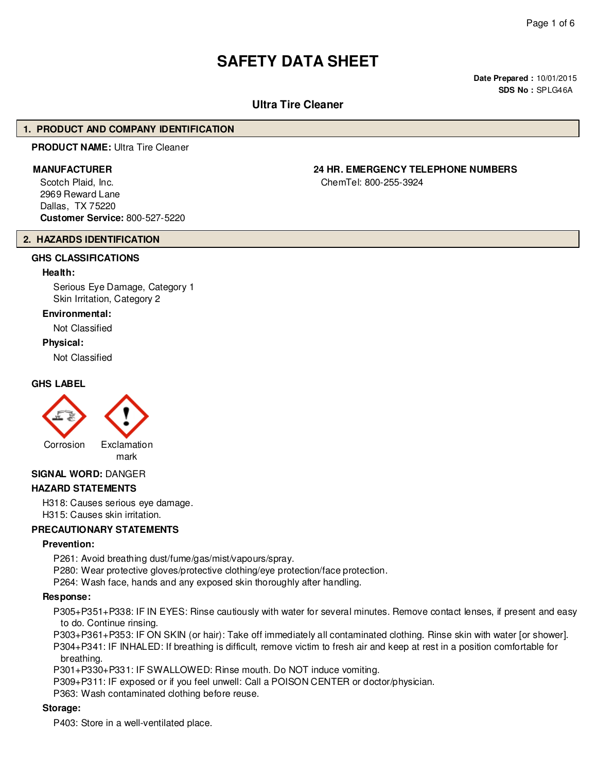# **SAFETY DATA SHEET**

**Date Prepared :** 10/01/2015 **SDS No :** SPLG46A

# **Ultra Tire Cleaner**

#### **1. PRODUCT AND COMPANY IDENTIFICATION**

#### **PRODUCT NAME:** Ultra Tire Cleaner

Scotch Plaid, Inc. 2969 Reward Lane Dallas, TX 75220 **Customer Service:** 800-527-5220

# **2. HAZARDS IDENTIFICATION**

#### **GHS CLASSIFICATIONS**

#### **Health:**

Serious Eye Damage, Category 1 Skin Irritation, Category 2

#### **Environmental:**

Not Classified

#### **Physical:**

Not Classified

#### **GHS LABEL**



mark

#### **SIGNAL WORD:** DANGER

#### **HAZARD STATEMENTS**

H318: Causes serious eye damage. H315: Causes skin irritation.

#### **PRECAUTIONARY STATEMENTS**

#### **Prevention:**

P261: Avoid breathing dust/fume/gas/mist/vapours/spray.

P280: Wear protective gloves/protective clothing/eye protection/face protection.

P264: Wash face, hands and any exposed skin thoroughly after handling.

#### **Response:**

P305+P351+P338: IF IN EYES: Rinse cautiously with water for several minutes. Remove contact lenses, if present and easy to do. Continue rinsing.

P303+P361+P353: IF ON SKIN (or hair): Take off immediately all contaminated clothing. Rinse skin with water [or shower].

P304+P341: IF INHALED: If breathing is difficult, remove victim to fresh air and keep at rest in a position comfortable for breathing.

P301+P330+P331: IF SWALLOWED: Rinse mouth. Do NOT induce vomiting.

P309+P311: IF exposed or if you feel unwell: Call a POISON CENTER or doctor/physician.

P363: Wash contaminated clothing before reuse.

#### **Storage:**

P403: Store in a well-ventilated place.

# **MANUFACTURER 24 HR. EMERGENCY TELEPHONE NUMBERS**

ChemTel: 800-255-3924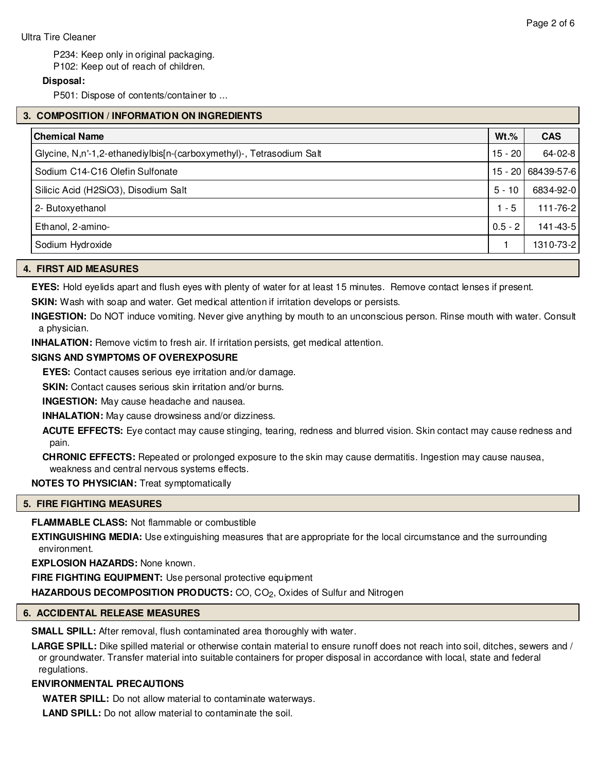P234: Keep only in original packaging.

P102: Keep out of reach of children.

#### **Disposal:**

P501: Dispose of contents/container to ...

| 3. COMPOSITION / INFORMATION ON INGREDIENTS                          |           |                    |  |
|----------------------------------------------------------------------|-----------|--------------------|--|
| <b>Chemical Name</b>                                                 | $Wt.\%$   | <b>CAS</b>         |  |
| Glycine, N,n'-1,2-ethanediylbis[n-(carboxymethyl)-, Tetrasodium Salt | 15 - 20   | 64-02-8            |  |
| Sodium C14-C16 Olefin Sulfonate                                      |           | 15 - 20 68439-57-6 |  |
| Silicic Acid (H2SiO3), Disodium Salt                                 | $5 - 10$  | 6834-92-0          |  |
| 2- Butoxyethanol                                                     | $1 - 5$   | $111 - 76 - 2$     |  |
| Ethanol, 2-amino-                                                    | $0.5 - 2$ | 141-43-5           |  |
| Sodium Hydroxide                                                     |           | 1310-73-2          |  |

#### **4. FIRST AID MEASURES**

**EYES:** Hold eyelids apart and flush eyes with plenty of water for at least 15 minutes. Remove contact lenses if present.

**SKIN:** Wash with soap and water. Get medical attention if irritation develops or persists.

**INGESTION:** Do NOT induce vomiting. Never give anything by mouth to an unconscious person. Rinse mouth with water. Consult a physician.

**INHALATION:** Remove victim to fresh air. If irritation persists, get medical attention.

# **SIGNS AND SYMPTOMS OF OVEREXPOSURE**

**EYES:** Contact causes serious eye irritation and/or damage.

**SKIN:** Contact causes serious skin irritation and/or burns.

**INGESTION:** May cause headache and nausea.

**INHALATION:** May cause drowsiness and/or dizziness.

**ACUTE EFFECTS:** Eye contact may cause stinging, tearing, redness and blurred vision. Skin contact may cause redness and pain.

**CHRONIC EFFECTS:** Repeated or prolonged exposure to the skin may cause dermatitis. Ingestion may cause nausea, weakness and central nervous systems effects.

**NOTES TO PHYSICIAN:** Treat symptomatically

# **5. FIRE FIGHTING MEASURES**

**FLAMMABLE CLASS:** Not flammable or combustible

**EXTINGUISHING MEDIA:** Use extinguishing measures that are appropriate for the local circumstance and the surrounding environment.

**EXPLOSION HAZARDS:** None known.

**FIRE FIGHTING EQUIPMENT:** Use personal protective equipment

**HAZARDOUS DECOMPOSITION PRODUCTS:** CO, CO<sub>2</sub>, Oxides of Sulfur and Nitrogen

# **6. ACCIDENTAL RELEASE MEASURES**

**SMALL SPILL:** After removal, flush contaminated area thoroughly with water.

**LARGE SPILL:** Dike spilled material or otherwise contain material to ensure runoff does not reach into soil, ditches, sewers and / or groundwater. Transfer material into suitable containers for proper disposal in accordance with local, state and federal regulations.

# **ENVIRONMENTAL PRECAUTIONS**

**WATER SPILL:** Do not allow material to contaminate waterways.

**LAND SPILL:** Do not allow material to contaminate the soil.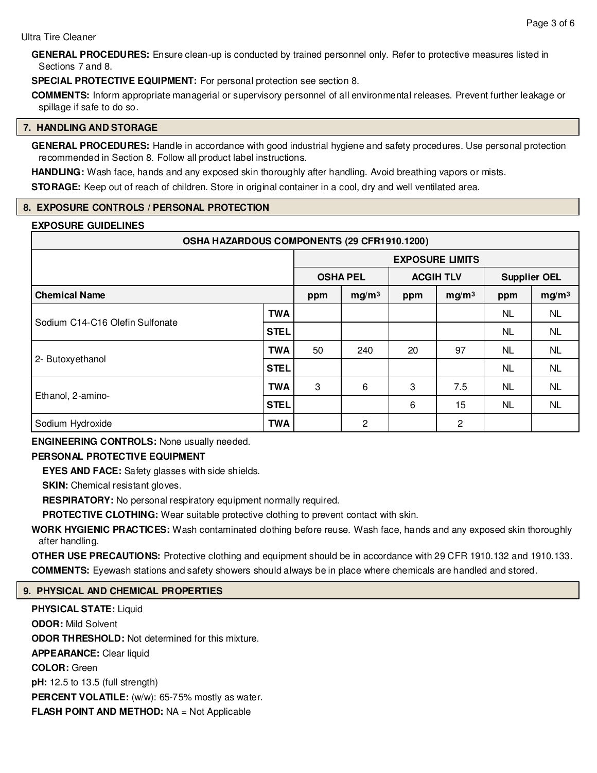**GENERAL PROCEDURES:** Ensure clean-up is conducted by trained personnel only. Refer to protective measures listed in Sections 7 and 8.

**SPECIAL PROTECTIVE EQUIPMENT:** For personal protection see section 8.

**COMMENTS:** Inform appropriate managerial or supervisory personnel of all environmental releases. Prevent further leakage or spillage if safe to do so.

#### **7. HANDLING AND STORAGE**

**GENERAL PROCEDURES:** Handle in accordance with good industrial hygiene and safety procedures. Use personal protection recommended in Section 8. Follow all product label instructions.

**HANDLING:** Wash face, hands and any exposed skin thoroughly after handling. Avoid breathing vapors or mists.

**STORAGE:** Keep out of reach of children. Store in original container in a cool, dry and well ventilated area.

# **8. EXPOSURE CONTROLS / PERSONAL PROTECTION**

#### **EXPOSURE GUIDELINES**

| OSHA HAZARDOUS COMPONENTS (29 CFR1910.1200) |             |                        |                                     |     |                   |                     |                   |
|---------------------------------------------|-------------|------------------------|-------------------------------------|-----|-------------------|---------------------|-------------------|
|                                             |             | <b>EXPOSURE LIMITS</b> |                                     |     |                   |                     |                   |
|                                             |             |                        | <b>ACGIH TLV</b><br><b>OSHA PEL</b> |     |                   | <b>Supplier OEL</b> |                   |
| <b>Chemical Name</b>                        |             | ppm                    | mg/m <sup>3</sup>                   | ppm | mg/m <sup>3</sup> | ppm                 | mg/m <sup>3</sup> |
|                                             | <b>TWA</b>  |                        |                                     |     |                   | NL.                 | <b>NL</b>         |
| Sodium C14-C16 Olefin Sulfonate             | <b>STEL</b> |                        |                                     |     |                   | NL.                 | <b>NL</b>         |
|                                             | <b>TWA</b>  | 50                     | 240                                 | 20  | 97                | NL.                 | <b>NL</b>         |
| 2- Butoxyethanol                            | <b>STEL</b> |                        |                                     |     |                   | <b>NL</b><br>NL.    | <b>NL</b>         |
| Ethanol, 2-amino-                           | <b>TWA</b>  | 3                      | 6                                   | 3   | 7.5               |                     | <b>NL</b>         |
|                                             | <b>STEL</b> |                        |                                     | 6   | 15                | <b>NL</b>           | <b>NL</b>         |
| Sodium Hydroxide                            | <b>TWA</b>  |                        | $\mathbf{2}$                        |     | 2                 |                     |                   |

**ENGINEERING CONTROLS:** None usually needed.

# **PERSONAL PROTECTIVE EQUIPMENT**

**EYES AND FACE:** Safety glasses with side shields.

**SKIN:** Chemical resistant gloves.

**RESPIRATORY:** No personal respiratory equipment normally required.

**PROTECTIVE CLOTHING:** Wear suitable protective clothing to prevent contact with skin.

**WORK HYGIENIC PRACTICES:** Wash contaminated clothing before reuse. Wash face, hands and any exposed skin thoroughly after handling.

**OTHER USE PRECAUTIONS:** Protective clothing and equipment should be in accordance with 29 CFR 1910.132 and 1910.133. **COMMENTS:** Eyewash stations and safety showers should always be in place where chemicals are handled and stored.

# **9. PHYSICAL AND CHEMICAL PROPERTIES**

**PHYSICAL STATE:** Liquid **ODOR:** Mild Solvent **ODOR THRESHOLD:** Not determined for this mixture. **APPEARANCE:** Clear liquid **COLOR:** Green **pH:** 12.5 to 13.5 (full strength) **PERCENT VOLATILE:** (w/w): 65-75% mostly as water. **FLASH POINT AND METHOD:** NA = Not Applicable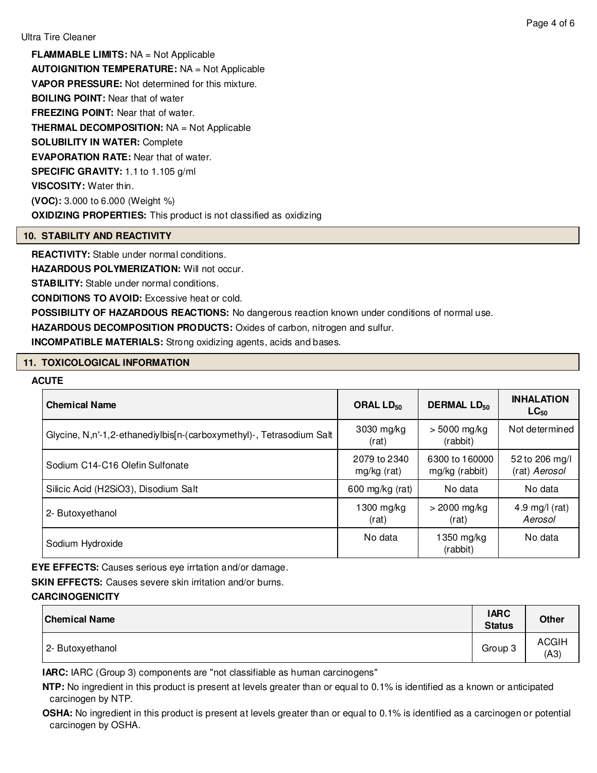**FLAMMABLE LIMITS:** NA = Not Applicable **AUTOIGNITION TEMPERATURE:** NA = Not Applicable **VAPOR PRESSURE:** Not determined for this mixture. **BOILING POINT:** Near that of water **FREEZING POINT:** Near that of water. **THERMAL DECOMPOSITION:** NA = Not Applicable **SOLUBILITY IN WATER:** Complete **EVAPORATION RATE:** Near that of water. **SPECIFIC GRAVITY:** 1.1 to 1.105 g/ml **VISCOSITY:** Water thin. **(VOC):** 3.000 to 6.000 (Weight %) **OXIDIZING PROPERTIES:** This product is not classified as oxidizing

# **10. STABILITY AND REACTIVITY**

**REACTIVITY:** Stable under normal conditions.

**HAZARDOUS POLYMERIZATION: Will not occur.** 

**STABILITY:** Stable under normal conditions.

**CONDITIONS TO AVOID:** Excessive heat or cold.

**POSSIBILITY OF HAZARDOUS REACTIONS:** No dangerous reaction known under conditions of normal use.

**HAZARDOUS DECOMPOSITION PRODUCTS:** Oxides of carbon, nitrogen and sulfur.

**INCOMPATIBLE MATERIALS:** Strong oxidizing agents, acids and bases.

# **11. TOXICOLOGICAL INFORMATION**

#### **ACUTE**

| <b>Chemical Name</b>                                                 | ORAL $LD_{50}$              | <b>DERMAL LD<sub>50</sub></b>    | <b>INHALATION</b><br>$LC_{50}$  |
|----------------------------------------------------------------------|-----------------------------|----------------------------------|---------------------------------|
| Glycine, N,n'-1,2-ethanediylbis[n-(carboxymethyl)-, Tetrasodium Salt | 3030 mg/kg<br>(rat)         | $> 5000$ mg/kg<br>(rabbit)       | Not determined                  |
| Sodium C14-C16 Olefin Sulfonate                                      | 2079 to 2340<br>mg/kg (rat) | 6300 to 160000<br>mg/kg (rabbit) | 52 to 206 mg/l<br>(rat) Aerosol |
| Silicic Acid (H2SiO3), Disodium Salt                                 | 600 mg/kg (rat)             | No data                          | No data                         |
| 2- Butoxyethanol                                                     | $1300$ mg/kg<br>(rat)       | $>$ 2000 mg/kg<br>(rat)          | 4.9 mg/l $(rat)$<br>Aerosol     |
| Sodium Hydroxide                                                     | No data                     | 1350 mg/kg<br>(rabbit)           | No data                         |

**EYE EFFECTS:** Causes serious eye irrtation and/or damage.

**SKIN EFFECTS:** Causes severe skin irritation and/or burns.

#### **CARCINOGENICITY**

| <b>Chemical Name</b> | <b>IARC</b><br><b>Status</b> | <b>Other</b>         |
|----------------------|------------------------------|----------------------|
| 2- Butoxyethanol     | Group 3                      | <b>ACGIH</b><br>(A3) |

**IARC:** IARC (Group 3) components are "not classifiable as human carcinogens"

**NTP:** No ingredient in this product is present at levels greater than or equal to 0.1% is identified as a known or anticipated carcinogen by NTP.

**OSHA:** No ingredient in this product is present at levels greater than or equal to 0.1% is identified as a carcinogen or potential carcinogen by OSHA.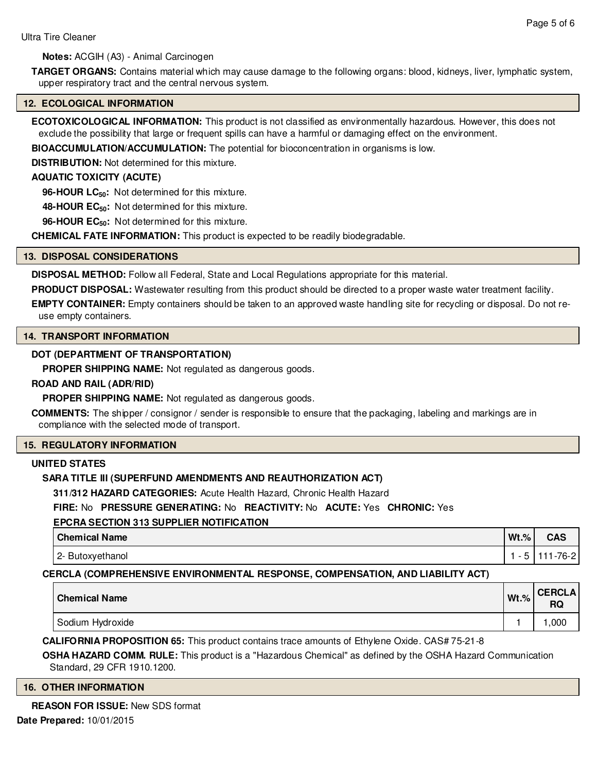**Notes:** ACGIH (A3) - Animal Carcinogen

**TARGET ORGANS:** Contains material which may cause damage to the following organs: blood, kidneys, liver, lymphatic system, upper respiratory tract and the central nervous system.

#### **12. ECOLOGICAL INFORMATION**

**ECOTOXICOLOGICAL INFORMATION:** This product is not classified as environmentally hazardous. However, this does not exclude the possibility that large or frequent spills can have a harmful or damaging effect on the environment.

**BIOACCUMULATION/ACCUMULATION:** The potential for bioconcentration in organisms is low.

**DISTRIBUTION:** Not determined for this mixture.

# **AQUATIC TOXICITY (ACUTE)**

**96-HOUR LC50:** Not determined for this mixture.

**48-HOUR EC50:** Not determined for this mixture.

**96-HOUR EC50:** Not determined for this mixture.

**CHEMICAL FATE INFORMATION:** This product is expected to be readily biodegradable.

#### **13. DISPOSAL CONSIDERATIONS**

**DISPOSAL METHOD:** Follow all Federal, State and Local Regulations appropriate for this material.

**PRODUCT DISPOSAL:** Wastewater resulting from this product should be directed to a proper waste water treatment facility.

**EMPTY CONTAINER:** Empty containers should be taken to an approved waste handling site for recycling or disposal. Do not reuse empty containers.

#### **14. TRANSPORT INFORMATION**

# **DOT (DEPARTMENT OF TRANSPORTATION)**

**PROPER SHIPPING NAME:** Not regulated as dangerous goods.

#### **ROAD AND RAIL (ADR/RID)**

**PROPER SHIPPING NAME:** Not regulated as dangerous goods.

**COMMENTS:** The shipper / consignor / sender is responsible to ensure that the packaging, labeling and markings are in compliance with the selected mode of transport.

#### **15. REGULATORY INFORMATION**

#### **UNITED STATES**

# **SARA TITLE III (SUPERFUND AMENDMENTS AND REAUTHORIZATION ACT)**

**311/312 HAZARD CATEGORIES:** Acute Health Hazard, Chronic Health Hazard

**FIRE:** No **PRESSURE GENERATING:** No **REACTIVITY:** No **ACUTE:** Yes **CHRONIC:** Yes

# **EPCRA SECTION 313 SUPPLIER NOTIFICATION**

| <b>Chemical Name</b> | $Wt.$ %                  | $\sim$ $\sim$<br>uaj |
|----------------------|--------------------------|----------------------|
| 2- Butoxyethanol     | $\overline{\phantom{a}}$ | -76-2                |

# **CERCLA (COMPREHENSIVE ENVIRONMENTAL RESPONSE, COMPENSATION, AND LIABILITY ACT)**

| <b>Chemical Name</b> | $Wt.\%$ | <b>CERCLA</b><br>DC<br>שח |
|----------------------|---------|---------------------------|
| Sodium Hydroxide     |         | ,000                      |

**CALIFORNIA PROPOSITION 65:** This product contains trace amounts of Ethylene Oxide. CAS# 75-21-8

**OSHA HAZARD COMM. RULE:** This product is a "Hazardous Chemical" as defined by the OSHA Hazard Communication Standard, 29 CFR 1910.1200.

#### **16. OTHER INFORMATION**

**REASON FOR ISSUE:** New SDS format